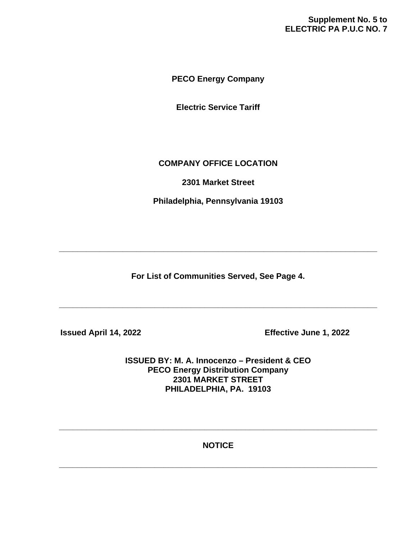# **Supplement No. 5 to ELECTRIC PA P.U.C NO. 7**

**PECO Energy Company**

**Electric Service Tariff**

# **COMPANY OFFICE LOCATION**

**2301 Market Street**

**Philadelphia, Pennsylvania 19103**

**For List of Communities Served, See Page 4.**

**\_\_\_\_\_\_\_\_\_\_\_\_\_\_\_\_\_\_\_\_\_\_\_\_\_\_\_\_\_\_\_\_\_\_\_\_\_\_\_\_\_\_\_\_\_\_\_\_\_\_\_\_\_\_\_\_\_\_\_\_\_\_\_\_\_\_\_\_\_\_**

**\_\_\_\_\_\_\_\_\_\_\_\_\_\_\_\_\_\_\_\_\_\_\_\_\_\_\_\_\_\_\_\_\_\_\_\_\_\_\_\_\_\_\_\_\_\_\_\_\_\_\_\_\_\_\_\_\_\_\_\_\_\_\_\_\_\_\_\_\_\_**

 **Issued April 14, 2022 Effective June 1, 2022**

**ISSUED BY: M. A. Innocenzo – President & CEO PECO Energy Distribution Company 2301 MARKET STREET PHILADELPHIA, PA. 19103**

**NOTICE**

**\_\_\_\_\_\_\_\_\_\_\_\_\_\_\_\_\_\_\_\_\_\_\_\_\_\_\_\_\_\_\_\_\_\_\_\_\_\_\_\_\_\_\_\_\_\_\_\_\_\_\_\_\_\_\_\_\_\_\_\_\_\_\_\_\_\_\_\_\_\_**

**\_\_\_\_\_\_\_\_\_\_\_\_\_\_\_\_\_\_\_\_\_\_\_\_\_\_\_\_\_\_\_\_\_\_\_\_\_\_\_\_\_\_\_\_\_\_\_\_\_\_\_\_\_\_\_\_\_\_\_\_\_\_\_\_\_\_\_\_\_\_**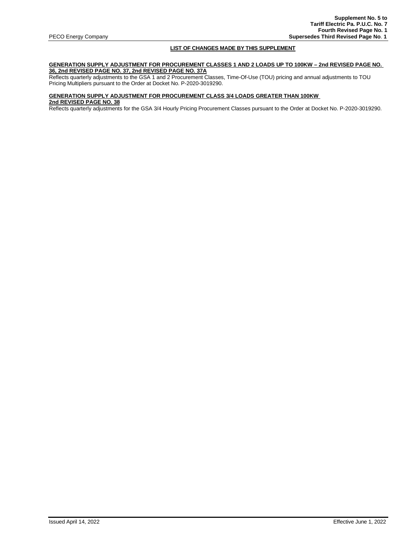# **LIST OF CHANGES MADE BY THIS SUPPLEMENT**

# **GENERATION SUPPLY ADJUSTMENT FOR PROCUREMENT CLASSES 1 AND 2 LOADS UP TO 100KW – 2nd REVISED PAGE NO. 36, 2nd REVISED PAGE NO. 37, 2nd REVISED PAGE NO. 37A**

Reflects quarterly adjustments to the GSA 1 and 2 Procurement Classes, Time-Of-Use (TOU) pricing and annual adjustments to TOU Pricing Multipliers pursuant to the Order at Docket No. P-2020-3019290.

#### **GENERATION SUPPLY ADJUSTMENT FOR PROCUREMENT CLASS 3/4 LOADS GREATER THAN 100KW**

**2nd REVISED PAGE NO. 38** 

Reflects quarterly adjustments for the GSA 3/4 Hourly Pricing Procurement Classes pursuant to the Order at Docket No. P-2020-3019290.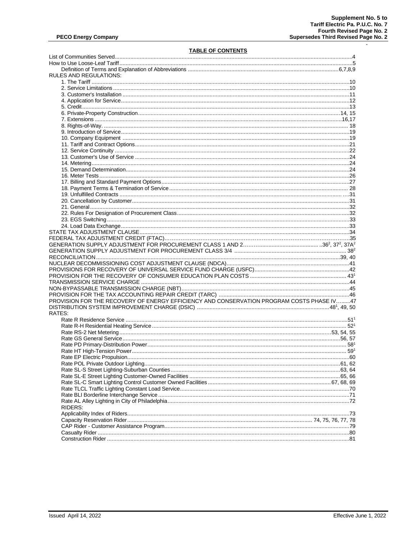$\sim$ 

# **TABLE OF CONTENTS**

| RULES AND REGULATIONS:                                                                    |  |
|-------------------------------------------------------------------------------------------|--|
|                                                                                           |  |
|                                                                                           |  |
|                                                                                           |  |
|                                                                                           |  |
|                                                                                           |  |
|                                                                                           |  |
|                                                                                           |  |
|                                                                                           |  |
|                                                                                           |  |
|                                                                                           |  |
|                                                                                           |  |
|                                                                                           |  |
|                                                                                           |  |
|                                                                                           |  |
|                                                                                           |  |
|                                                                                           |  |
|                                                                                           |  |
|                                                                                           |  |
|                                                                                           |  |
|                                                                                           |  |
|                                                                                           |  |
|                                                                                           |  |
|                                                                                           |  |
|                                                                                           |  |
|                                                                                           |  |
|                                                                                           |  |
|                                                                                           |  |
|                                                                                           |  |
|                                                                                           |  |
|                                                                                           |  |
|                                                                                           |  |
|                                                                                           |  |
|                                                                                           |  |
|                                                                                           |  |
|                                                                                           |  |
|                                                                                           |  |
| PROVISION FOR THE RECOVERY OF ENERGY EFFICIENCY AND CONSERVATION PROGRAM COSTS PHASE IV47 |  |
|                                                                                           |  |
| RATES:                                                                                    |  |
|                                                                                           |  |
|                                                                                           |  |
|                                                                                           |  |
|                                                                                           |  |
|                                                                                           |  |
|                                                                                           |  |
|                                                                                           |  |
|                                                                                           |  |
|                                                                                           |  |
|                                                                                           |  |
|                                                                                           |  |
|                                                                                           |  |
|                                                                                           |  |
|                                                                                           |  |
|                                                                                           |  |
| RIDERS:                                                                                   |  |
|                                                                                           |  |
|                                                                                           |  |
|                                                                                           |  |
|                                                                                           |  |
|                                                                                           |  |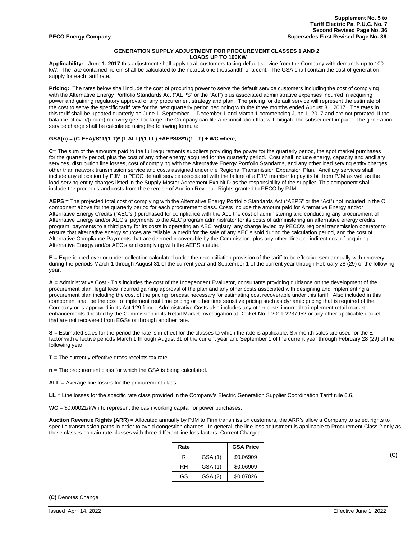#### **GENERATION SUPPLY ADJUSTMENT FOR PROCUREMENT CLASSES 1 AND 2 LOADS UP TO 100KW**

**Applicability: June 1, 2017** this adjustment shall apply to all customers taking default service from the Company with demands up to 100 kW. The rate contained herein shall be calculated to the nearest one thousandth of a cent. The GSA shall contain the cost of generation supply for each tariff rate.

**Pricing:** The rates below shall include the cost of procuring power to serve the default service customers including the cost of complying with the Alternative Energy Portfolio Standards Act ("AEPS" or the "Act") plus associated administrative expenses incurred in acquiring power and gaining regulatory approval of any procurement strategy and plan. The pricing for default service will represent the estimate of the cost to serve the specific tariff rate for the next quarterly period beginning with the three months ended August 31, 2017. The rates in this tariff shall be updated quarterly on June 1, September 1, December 1 and March 1 commencing June 1, 2017 and are not prorated. If the balance of over/(under) recovery gets too large, the Company can file a reconciliation that will mitigate the subsequent impact. The generation service charge shall be calculated using the following formula:

# **GSA(n) = (C-E+A)/S\*1/(1-T)\* (1-ALL)/(1-LL) +AEPS/S\*1/(1 - T) + WC** where;

**C**= The sum of the amounts paid to the full requirements suppliers providing the power for the quarterly period, the spot market purchases for the quarterly period, plus the cost of any other energy acquired for the quarterly period. Cost shall include energy, capacity and ancillary services, distribution line losses, cost of complying with the Alternative Energy Portfolio Standards, and any other load serving entity charges other than network transmission service and costs assigned under the Regional Transmission Expansion Plan. Ancillary services shall include any allocation by PJM to PECO default service associated with the failure of a PJM member to pay its bill from PJM as well as the load serving entity charges listed in the Supply Master Agreement Exhibit D as the responsibility of the supplier. This component shall include the proceeds and costs from the exercise of Auction Revenue Rights granted to PECO by PJM.

**AEPS =** The projected total cost of complying with the Alternative Energy Portfolio Standards Act ("AEPS" or the "Act") not included in the C component above for the quarterly period for each procurement class. Costs include the amount paid for Alternative Energy and/or Alternative Energy Credits ("AEC's") purchased for compliance with the Act, the cost of administering and conducting any procurement of Alternative Energy and/or AEC's, payments to the AEC program administrator for its costs of administering an alternative energy credits program, payments to a third party for its costs in operating an AEC registry, any charge levied by PECO's regional transmission operator to ensure that alternative energy sources are reliable, a credit for the sale of any AEC's sold during the calculation period, and the cost of Alternative Compliance Payments that are deemed recoverable by the Commission, plus any other direct or indirect cost of acquiring Alternative Energy and/or AEC's and complying with the AEPS statute.

**E** = Experienced over or under-collection calculated under the reconciliation provision of the tariff to be effective semiannually with recovery during the periods March 1 through August 31 of the current year and September 1 of the current year through February 28 (29) of the following year.

**A** = Administrative Cost - This includes the cost of the Independent Evaluator, consultants providing guidance on the development of the procurement plan, legal fees incurred gaining approval of the plan and any other costs associated with designing and implementing a procurement plan including the cost of the pricing forecast necessary for estimating cost recoverable under this tariff. Also included in this component shall be the cost to implement real time pricing or other time sensitive pricing such as dynamic pricing that is required of the Company or is approved in its Act 129 filing. Administrative Costs also includes any other costs incurred to implement retail market enhancements directed by the Commission in its Retail Market Investigation at Docket No. I-2011-2237952 or any other applicable docket that are not recovered from EGSs or through another rate.

**S** = Estimated sales for the period the rate is in effect for the classes to which the rate is applicable. Six month sales are used for the E factor with effective periods March 1 through August 31 of the current year and September 1 of the current year through February 28 (29) of the following year.

**T** = The currently effective gross receipts tax rate.

**n** = The procurement class for which the GSA is being calculated.

**ALL** = Average line losses for the procurement class.

**LL** = Line losses for the specific rate class provided in the Company's Electric Generation Supplier Coordination Tariff rule 6.6.

**WC** = \$0.00021/kWh to represent the cash working capital for power purchases.

**Auction Revenue Rights (ARR) =** Allocated annually by PJM to Firm transmission customers, the ARR's allow a Company to select rights to specific transmission paths in order to avoid congestion charges. In general, the line loss adjustment is applicable to Procurement Class 2 only as those classes contain rate classes with three different line loss factors: Current Charges:

| Rate |         | <b>GSA Price</b> |
|------|---------|------------------|
| R    | GSA (1) | \$0.06909        |
| RH   | GSA (1) | \$0.06909        |
| GS   | GSA (2) | \$0.07026        |

**(C)**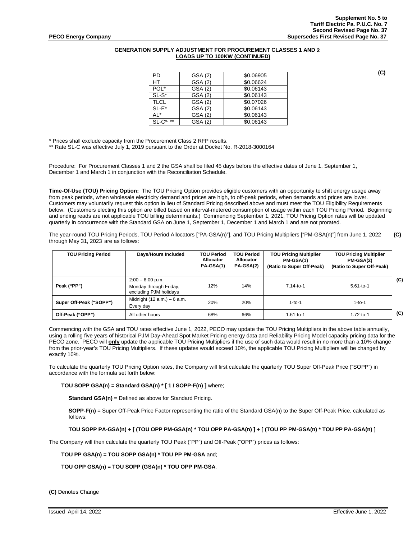# **GENERATION SUPPLY ADJUSTMENT FOR PROCUREMENT CLASSES 1 AND 2 LOADS UP TO 100KW (CONTINUED)**

| PD               | GSA (2) | \$0.06905 |
|------------------|---------|-----------|
| НT               | GSA (2) | \$0.06624 |
| POL*             | GSA (2) | \$0.06143 |
| $SL-S^*$         | GSA (2) | \$0.06143 |
| <b>TLCL</b>      | GSA (2) | \$0.07026 |
| $SL-E^*$         | GSA (2) | \$0.06143 |
| AL*              | GSA (2) | \$0.06143 |
| $SI - C^{*, **}$ | GSA (2) | \$0.06143 |

\* Prices shall exclude capacity from the Procurement Class 2 RFP results.

\*\* Rate SL-C was effective July 1, 2019 pursuant to the Order at Docket No. R-2018-3000164

Procedure: For Procurement Classes 1 and 2 the GSA shall be filed 45 days before the effective dates of June 1, September 1**,**  December 1 and March 1 in conjunction with the Reconciliation Schedule.

**Time-Of-Use (TOU) Pricing Option:** The TOU Pricing Option provides eligible customers with an opportunity to shift energy usage away from peak periods, when wholesale electricity demand and prices are high, to off-peak periods, when demands and prices are lower. Customers may voluntarily request this option in lieu of Standard Pricing described above and must meet the TOU Eligibility Requirements below. (Customers electing this option are billed based on interval-metered consumption of usage within each TOU Pricing Period. Beginning and ending reads are not applicable TOU billing determinants.) Commencing September 1, 2021, TOU Pricing Option rates will be updated quarterly in concurrence with the Standard GSA on June 1, September 1, December 1 and March 1 and are not prorated.

The year-round TOU Pricing Periods, TOU Period Allocators ["PA-GSA(n)"], and TOU Pricing Multipliers ["PM-GSA(n)"] from June 1, 2022 **(C)** through May 31, 2023 are as follows:

| <b>TOU Pricing Period</b> | Days/Hours Included                                                    | <b>TOU Period</b><br>Allocator<br>PA-GSA(1) | <b>TOU Period</b><br>Allocator<br>PA-GSA(2) | <b>TOU Pricing Multiplier</b><br>PM-GSA(1)<br>(Ratio to Super Off-Peak) | <b>TOU Pricing Multiplier</b><br>PM-GSA(2)<br>(Ratio to Super Off-Peak) |     |
|---------------------------|------------------------------------------------------------------------|---------------------------------------------|---------------------------------------------|-------------------------------------------------------------------------|-------------------------------------------------------------------------|-----|
| Peak ("PP")               | $2:00 - 6:00$ p.m.<br>Monday through Friday,<br>excluding PJM holidays | 12%                                         | 14%                                         | $7.14 - to - 1$                                                         | $5.61 - to - 1$                                                         | (C) |
| Super Off-Peak ("SOPP")   | Midnight $(12 a.m.) - 6 a.m.$<br>Every day                             | 20%                                         | 20%                                         | $1-t$ o-1                                                               | $1-to-1$                                                                |     |
| Off-Peak ("OPP")          | All other hours                                                        | 68%                                         | 66%                                         | 1.61-to-1                                                               | $1.72 - to - 1$                                                         | (C) |

Commencing with the GSA and TOU rates effective June 1, 2022, PECO may update the TOU Pricing Multipliers in the above table annually, using a rolling five years of historical PJM Day-Ahead Spot Market Pricing energy data and Reliability Pricing Model capacity pricing data for the PECO zone. PECO will **only** update the applicable TOU Pricing Multipliers if the use of such data would result in no more than a 10% change from the prior-year's TOU Pricing Multipliers. If these updates would exceed 10%, the applicable TOU Pricing Multipliers will be changed by exactly 10%.

To calculate the quarterly TOU Pricing Option rates, the Company will first calculate the quarterly TOU Super Off-Peak Price ("SOPP") in accordance with the formula set forth below:

#### **TOU SOPP GSA(n) = Standard GSA(n) \* [ 1 / SOPP-F(n) ]** where;

**Standard GSA(n)** = Defined as above for Standard Pricing.

**SOPP-F(n)** = Super Off-Peak Price Factor representing the ratio of the Standard GSA(n) to the Super Off-Peak Price, calculated as follows:

#### **TOU SOPP PA-GSA(n) + [ (TOU OPP PM-GSA(n) \* TOU OPP PA-GSA(n) ] + [ (TOU PP PM-GSA(n) \* TOU PP PA-GSA(n) ]**

The Company will then calculate the quarterly TOU Peak ("PP") and Off-Peak ("OPP") prices as follows:

#### **TOU PP GSA(n) = TOU SOPP GSA(n) \* TOU PP PM-GSA** and;

### **TOU OPP GSA(n) = TOU SOPP (GSA(n) \* TOU OPP PM-GSA**.

**(C)** Denotes Change

**(C)**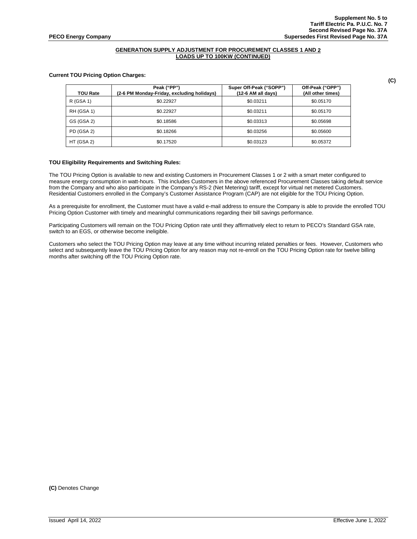# **GENERATION SUPPLY ADJUSTMENT FOR PROCUREMENT CLASSES 1 AND 2 LOADS UP TO 100KW (CONTINUED)**

### **Current TOU Pricing Option Charges:**

| <b>TOU Rate</b>   | Peak ("PP")<br>(2-6 PM Monday-Friday, excluding holidays) | Super Off-Peak ("SOPP")<br>$(12-6$ AM all days) | Off-Peak ("OPP")<br>(All other times) |
|-------------------|-----------------------------------------------------------|-------------------------------------------------|---------------------------------------|
| R (GSA 1)         | \$0.22927                                                 | \$0.03211                                       | \$0.05170                             |
| <b>RH (GSA 1)</b> | \$0.22927                                                 | \$0.03211                                       | \$0.05170                             |
| GS (GSA 2)        | \$0.18586                                                 | \$0.03313                                       | \$0.05698                             |
| PD (GSA 2)        | \$0.18266                                                 | \$0.03256                                       | \$0.05600                             |
| HT (GSA 2)        | \$0.17520                                                 | \$0.03123                                       | \$0.05372                             |

# **TOU Eligibility Requirements and Switching Rules:**

The TOU Pricing Option is available to new and existing Customers in Procurement Classes 1 or 2 with a smart meter configured to measure energy consumption in watt-hours. This includes Customers in the above referenced Procurement Classes taking default service from the Company and who also participate in the Company's RS-2 (Net Metering) tariff, except for virtual net metered Customers. Residential Customers enrolled in the Company's Customer Assistance Program (CAP) are not eligible for the TOU Pricing Option.

As a prerequisite for enrollment, the Customer must have a valid e-mail address to ensure the Company is able to provide the enrolled TOU Pricing Option Customer with timely and meaningful communications regarding their bill savings performance.

Participating Customers will remain on the TOU Pricing Option rate until they affirmatively elect to return to PECO's Standard GSA rate, switch to an EGS, or otherwise become ineligible.

Customers who select the TOU Pricing Option may leave at any time without incurring related penalties or fees. However, Customers who select and subsequently leave the TOU Pricing Option for any reason may not re-enroll on the TOU Pricing Option rate for twelve billing months after switching off the TOU Pricing Option rate.